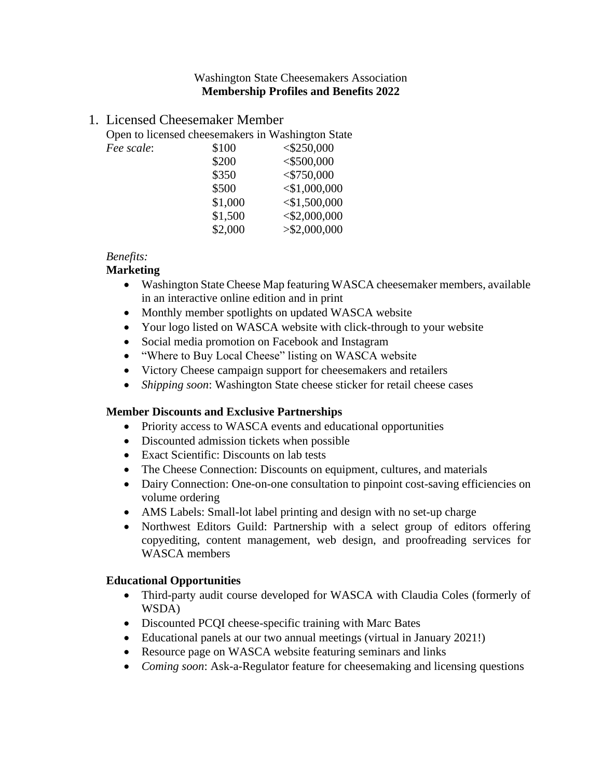#### Washington State Cheesemakers Association **Membership Profiles and Benefits 2022**

## 1. Licensed Cheesemaker Member

Open to licensed cheesemakers in Washington State

| Fee scale: | \$100   | $<$ \$250,000   |
|------------|---------|-----------------|
|            | \$200   | $<$ \$500,000   |
|            | \$350   | $<$ \$750,000   |
|            | \$500   | $<$ \$1,000,000 |
|            | \$1,000 | $<$ \$1,500,000 |
|            | \$1,500 | $<$ \$2,000,000 |
|            | \$2,000 | > \$2,000,000   |

### *Benefits:*

### **Marketing**

- Washington State Cheese Map featuring WASCA cheesemaker members, available in an interactive online edition and in print
- Monthly member spotlights on updated WASCA website
- Your logo listed on WASCA website with click-through to your website
- Social media promotion on Facebook and Instagram
- "Where to Buy Local Cheese" listing on WASCA website
- Victory Cheese campaign support for cheesemakers and retailers
- *Shipping soon*: Washington State cheese sticker for retail cheese cases

#### **Member Discounts and Exclusive Partnerships**

- Priority access to WASCA events and educational opportunities
- Discounted admission tickets when possible
- Exact Scientific: Discounts on lab tests
- The Cheese Connection: Discounts on equipment, cultures, and materials
- Dairy Connection: One-on-one consultation to pinpoint cost-saving efficiencies on volume ordering
- AMS Labels: Small-lot label printing and design with no set-up charge
- Northwest Editors Guild: Partnership with a select group of editors offering copyediting, content management, web design, and proofreading services for WASCA members

### **Educational Opportunities**

- Third-party audit course developed for WASCA with Claudia Coles (formerly of WSDA)
- Discounted PCQI cheese-specific training with Marc Bates
- Educational panels at our two annual meetings (virtual in January 2021!)
- Resource page on WASCA website featuring seminars and links
- *Coming soon*: Ask-a-Regulator feature for cheesemaking and licensing questions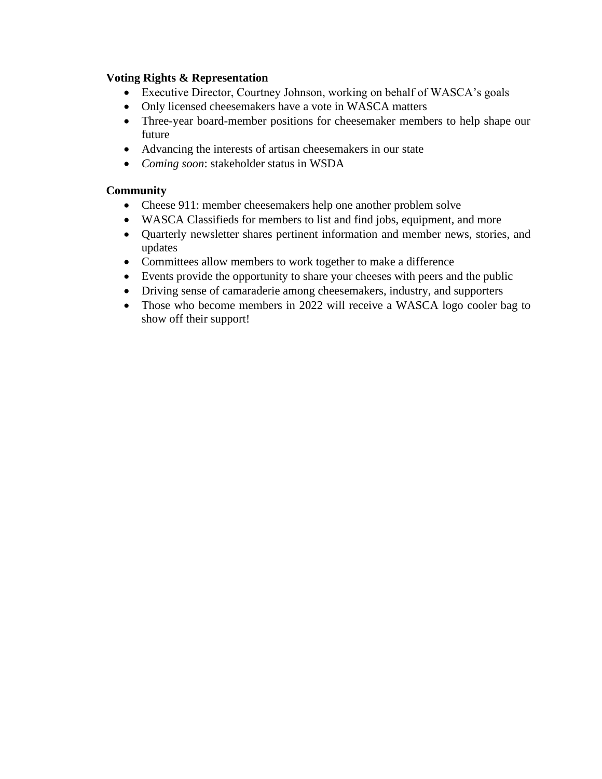### **Voting Rights & Representation**

- Executive Director, Courtney Johnson, working on behalf of WASCA's goals
- Only licensed cheesemakers have a vote in WASCA matters
- Three-year board-member positions for cheesemaker members to help shape our future
- Advancing the interests of artisan cheesemakers in our state
- *Coming soon*: stakeholder status in WSDA

- Cheese 911: member cheesemakers help one another problem solve
- WASCA Classifieds for members to list and find jobs, equipment, and more
- Quarterly newsletter shares pertinent information and member news, stories, and updates
- Committees allow members to work together to make a difference
- Events provide the opportunity to share your cheeses with peers and the public
- Driving sense of camaraderie among cheesemakers, industry, and supporters
- Those who become members in 2022 will receive a WASCA logo cooler bag to show off their support!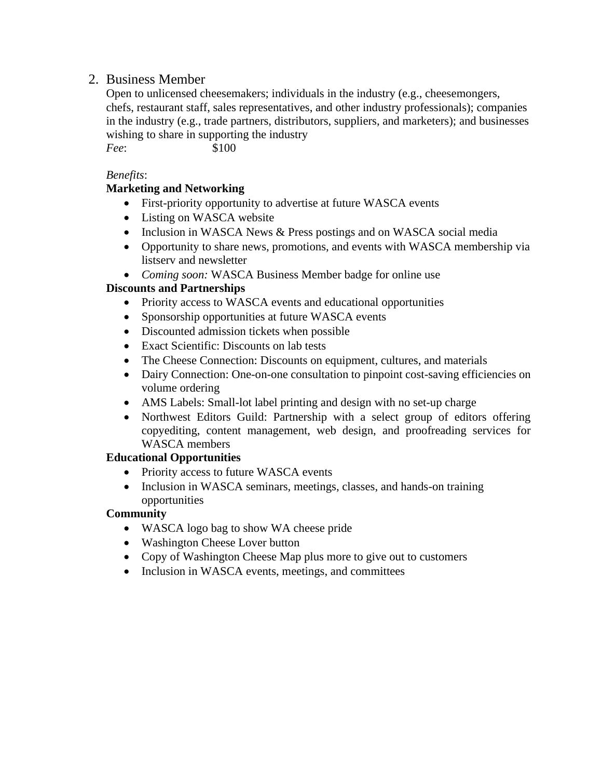# 2. Business Member

Open to unlicensed cheesemakers; individuals in the industry (e.g., cheesemongers, chefs, restaurant staff, sales representatives, and other industry professionals); companies in the industry (e.g., trade partners, distributors, suppliers, and marketers); and businesses wishing to share in supporting the industry *Fee*: \$100

*Benefits*:

## **Marketing and Networking**

- First-priority opportunity to advertise at future WASCA events
- Listing on WASCA website
- Inclusion in WASCA News & Press postings and on WASCA social media
- Opportunity to share news, promotions, and events with WASCA membership via listserv and newsletter
- *Coming soon:* WASCA Business Member badge for online use

## **Discounts and Partnerships**

- Priority access to WASCA events and educational opportunities
- Sponsorship opportunities at future WASCA events
- Discounted admission tickets when possible
- Exact Scientific: Discounts on lab tests
- The Cheese Connection: Discounts on equipment, cultures, and materials
- Dairy Connection: One-on-one consultation to pinpoint cost-saving efficiencies on volume ordering
- AMS Labels: Small-lot label printing and design with no set-up charge
- Northwest Editors Guild: Partnership with a select group of editors offering copyediting, content management, web design, and proofreading services for WASCA members

### **Educational Opportunities**

- Priority access to future WASCA events
- Inclusion in WASCA seminars, meetings, classes, and hands-on training opportunities

- WASCA logo bag to show WA cheese pride
- Washington Cheese Lover button
- Copy of Washington Cheese Map plus more to give out to customers
- Inclusion in WASCA events, meetings, and committees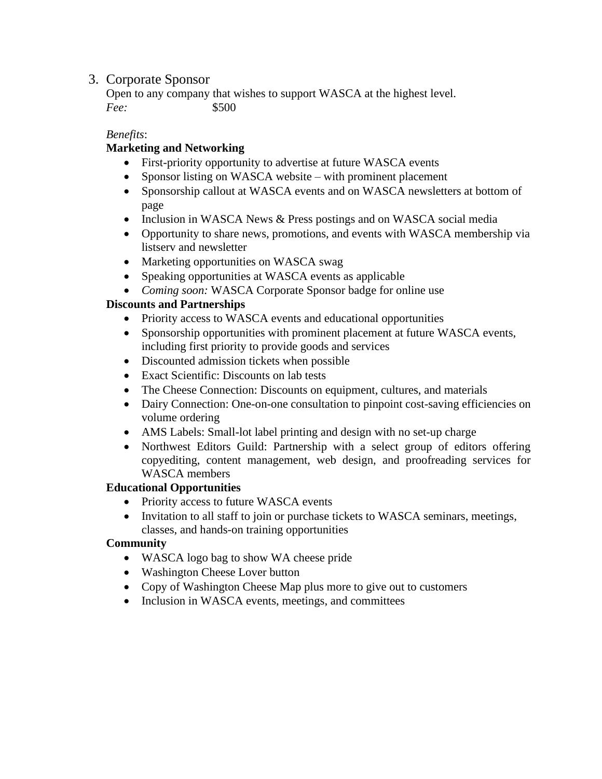# 3. Corporate Sponsor

Open to any company that wishes to support WASCA at the highest level. *Fee:* \$500

## *Benefits*:

# **Marketing and Networking**

- First-priority opportunity to advertise at future WASCA events
- Sponsor listing on WASCA website with prominent placement
- Sponsorship callout at WASCA events and on WASCA newsletters at bottom of page
- Inclusion in WASCA News & Press postings and on WASCA social media
- Opportunity to share news, promotions, and events with WASCA membership via listserv and newsletter
- Marketing opportunities on WASCA swag
- Speaking opportunities at WASCA events as applicable
- *Coming soon:* WASCA Corporate Sponsor badge for online use

## **Discounts and Partnerships**

- Priority access to WASCA events and educational opportunities
- Sponsorship opportunities with prominent placement at future WASCA events, including first priority to provide goods and services
- Discounted admission tickets when possible
- Exact Scientific: Discounts on lab tests
- The Cheese Connection: Discounts on equipment, cultures, and materials
- Dairy Connection: One-on-one consultation to pinpoint cost-saving efficiencies on volume ordering
- AMS Labels: Small-lot label printing and design with no set-up charge
- Northwest Editors Guild: Partnership with a select group of editors offering copyediting, content management, web design, and proofreading services for WASCA members

## **Educational Opportunities**

- Priority access to future WASCA events
- Invitation to all staff to join or purchase tickets to WASCA seminars, meetings, classes, and hands-on training opportunities

- WASCA logo bag to show WA cheese pride
- Washington Cheese Lover button
- Copy of Washington Cheese Map plus more to give out to customers
- Inclusion in WASCA events, meetings, and committees